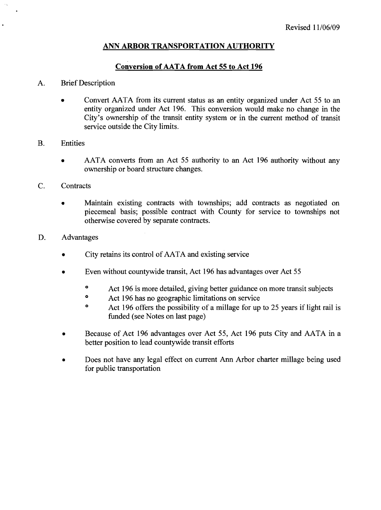## **ANN ARBOR TRANSPORTATION AUTHORITY**

## **Conversion of AATA from Act 55 to Act 196**

### A. Brief Description

- Convert AATA from its current status as an entity organized under Act 55 to an  $\bullet$ entity organized under Act 196. This conversion would make no change in the City's ownership of the transit entity system or in the current method of transit service outside the City limits.
- B. Entities
	- AATA converts from an Act 55 authority to an Act 196 authority without any  $\bullet$ ownership or board structure changes.
- C. Contracts
	- Maintain existing contracts with townships; add contracts as negotiated on  $\bullet$ piecemeal basis; possible contract with County for service to townships not otherwise covered by separate contracts.
- D. Advantages
	- City retains its control of AATA and existing service
	- Even without countywide transit, Act 196 has advantages over Act 55  $\bullet$ 
		- <sup>o</sup> Act 196 is more detailed, giving better guidance on more transit subjects
		- <sup>o</sup> Act 196 has no geographic limitations on service
		- <sup>o</sup> Act 196 offers the possibility of a millage for up to 25 years if light rail is funded (see Notes on last page)
	- Because of Act 196 advantages over Act 55, Act 196 puts City and AATA in a better position to lead countywide transit efforts
	- Does not have any legal effect on current Ann Arbor charter millage being used for public transportation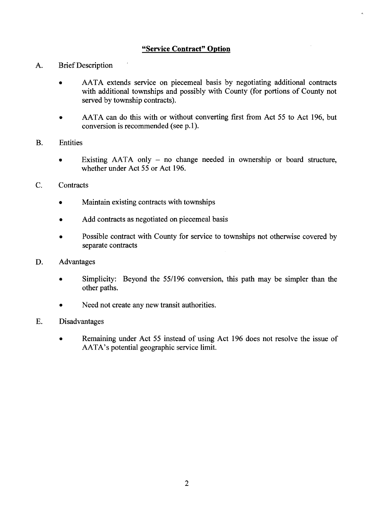## **"Service Contract" Option**

- A. Brief Description
	- AATA extends service on piecemeal basis by negotiating additional contracts with additional townships and possibly with County (for portions of County not served by township contracts).
	- AATA can do this with or without converting first from Act 55 to Act 196, but conversion is recommended (see p.1).
- B. Entities
	- Existing  $AATA$  only no change needed in ownership or board structure,  $\bullet$ whether under Act 55 or Act 196.
- C. Contracts
	- Maintain existing contracts with townships
	- Add contracts as negotiated on piecemeal basis
	- Possible contract with County for service to townships not otherwise covered by separate contracts
- D. Advantages
	- Simplicity: Beyond the 55/196 conversion, this path may be simpler than the  $\bullet$ other paths.
	- Need not create any new transit authorities.
- E. Disadvantages
	- Remaining under Act 55 instead of using Act 196 does not resolve the issue of AATA's potential geographic service limit.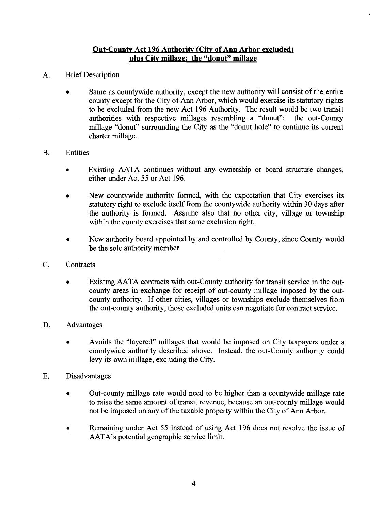### **Out-Countv Act 196 Authoritv (Citv of Ann Arbor excluded) plus Citv millage: the "donut" millage**

- A. Brief Description
	- Same as countywide authority, except the new authority will consist of the entire county except for the City of Ann Arbor, which would exercise its statutory rights to be excluded from the new Act 196 Authority. The result would be two transit authorities with respective millages resembling a "donut": the out-County authorities with respective millages resembling a "donut": millage "donut" surrounding the City as the "donut hole" to continue its current charter millage.
- B. Entities
	- Existing AATA continues without any ownership or board structure changes,  $\bullet$ either under Act 55 or Act 196.
	- New countywide authority formed, with the expectation that City exercises its statutory right to exclude itself from the countywide authority within 30 days after the authority is formed. Assume also that no other city, village or township within the county exercises that same exclusion right.
	- New authority board appointed by and controlled by County, since County would be the sole authority member
- C. Contracts
	- Existing AATA contracts with out-County authority for transit service in the outcounty areas in exchange for receipt of out-county millage imposed by the outcounty authority. If other cities, villages or townships exclude themselves from the out-county authority, those excluded units can negotiate for contract service.
- D. Advantages
	- Avoids the "layered" millages that would be imposed on City taxpayers under a countywide authority described above. Instead, the out-County authority could levy its own millage, excluding the City.
- E. Disadvantages
	- Out-county millage rate would need to be higher than a countywide millage rate  $\bullet$ to raise the same amount of transit revenue, because an out-county millage would not be imposed on any of the taxable property within the City of Ann Arbor.
	- Remaining under Act 55 instead of using Act 196 does not resolve the issue of  $\bullet$ AATA's potential geographic service limit.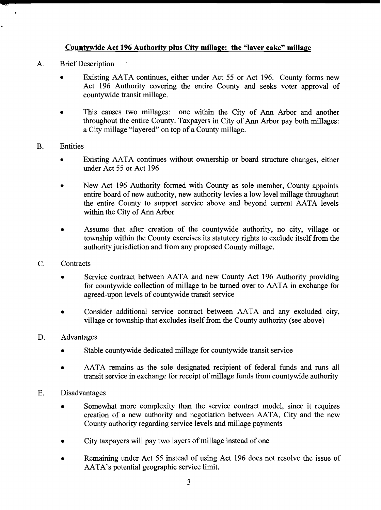## **Countvwide Act 196 Authoritv plus City millage: the "laver cake" millage**

A. Brief Description

 $\bullet$ 

- Existing AATA continues, either under Act 55 or Act 196. County forms new Act 196 Authority covering the entire County and seeks voter approval of countywide transit millage.
- This causes two millages: one within the City of Ann Arbor and another throughout the entire County. Taxpayers in City of Ann Arbor pay both millages: a City millage "layered" on top of a County millage.
- B. Entities
	- **a** Existing AATA continues without ownership or board structure changes, either under Act 55 or Act 196
	- **a** New Act 196 Authority formed with County as sole member, County appoints entire board of new authority, new authority levies a low level millage throughout the entire County to support service above and beyond current AATA levels within the City of Ann Arbor
	- **a** Assume that after creation of the countywide authority, no city, village or township within the County exercises its statutory rights to exclude itself from the authority jurisdiction and from any proposed County millage.
- C. Contracts
	- Service contract between AATA and new County Act 196 Authority providing for countywide collection of millage to be turned over to AATA in exchange for agreed-upon levels of countywide transit service
	- **a** Consider additional service contract between AATA and any excluded city, village or township that excludes itself from the County authority (see above)
- D. Advantages
	- **a** Stable countywide dedicated millage for countywide transit service
	- **a** AATA remains as the sole designated recipient of federal funds and runs all transit service in exchange for receipt of millage funds from countywide authority
- E. Disadvantages
	- Somewhat more complexity than the service contract model, since it requires creation of a new authority and negotiation between AATA, City and the new County authority regarding service levels and millage payments
	- **a** City taxpayers will pay two layers of millage instead of one
	- **a** Remaining under Act 55 instead of using Act 196 does not resolve the issue of AATA's potential geographic service limit.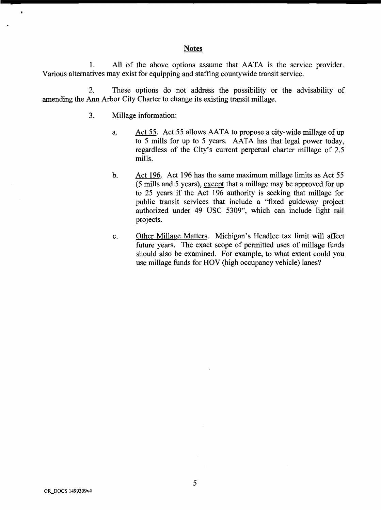### **Notes**

1. All of the above options assume that AATA is the service provider. Various alternatives may exist for equipping and staffing countywide transit service.

*2.* These options do not address the possibility or the advisability of amending the Ann Arbor City Charter to change its existing transit millage.

- **3.** Millage information:
	- a. Act *55.* Act *55* allows AATA to propose a city-wide millage of up to *5* mills for up to *5* years. AATA has that legal power today, regardless of the City's current perpetual charter millage of *2.5*  mills.
	- b. Act **196.** Act **196** has the same maximum millage limits as Act *55 (5* mills and *5* years), except that a millage may be approved for up to *25* years if the Act **196** authority is seeking that millage for public transit services that include a "fixed guideway project authorized under **49** USC *5309",* which can include light rail projects.
	- c. Other Millage Matters. Michigan's Headlee tax limit will affect future years. The exact scope of permitted uses of millage funds should also be examined. For example, to what extent could you use millage funds for HOV (high occupancy vehicle) lanes?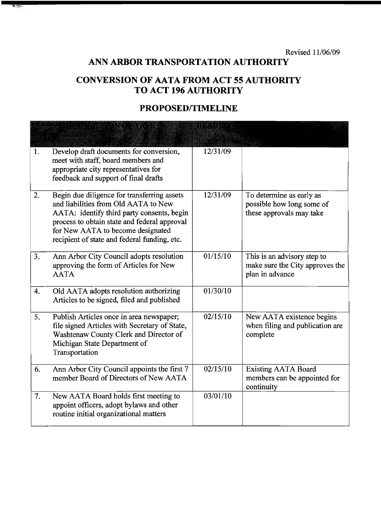Revised 11/06/09

# **ANN ARBOR TRANSPORTATION AUTHORITY**

## **CONVERSION OF AATA FROM ACT 55 AUTHORITY TO ACT 196 AUTHORITY**

## PROPOSED/TIMELINE

|    | ETA SULPURINTSIKUN S                                                                                                                                                                                                                                                   | <u>inatha t</u> h |                                                                                   |
|----|------------------------------------------------------------------------------------------------------------------------------------------------------------------------------------------------------------------------------------------------------------------------|-------------------|-----------------------------------------------------------------------------------|
| 1. | Develop draft documents for conversion,<br>meet with staff, board members and<br>appropriate city representatives for<br>feedback and support of final drafts                                                                                                          | 12/31/09          |                                                                                   |
| 2. | Begin due diligence for transferring assets<br>and liabilities from Old AATA to New<br>AATA: identify third party consents, begin<br>process to obtain state and federal approval<br>for New AATA to become designated<br>recipient of state and federal funding, etc. | 12/31/09          | To determine as early as<br>possible how long some of<br>these approvals may take |
| 3. | Ann Arbor City Council adopts resolution<br>approving the form of Articles for New<br><b>AATA</b>                                                                                                                                                                      | 01/15/10          | This is an advisory step to<br>make sure the City approves the<br>plan in advance |
| 4. | Old AATA adopts resolution authorizing<br>Articles to be signed, filed and published                                                                                                                                                                                   | 01/30/10          |                                                                                   |
| 5. | Publish Articles once in area newspaper;<br>file signed Articles with Secretary of State,<br>Washtenaw County Clerk and Director of<br>Michigan State Department of<br>Transportation                                                                                  | 02/15/10          | New AATA existence begins<br>when filing and publication are<br>complete          |
| 6. | Ann Arbor City Council appoints the first 7<br>member Board of Directors of New AATA                                                                                                                                                                                   | 02/15/10          | <b>Existing AATA Board</b><br>members can be appointed for<br>continuity          |
| 7. | New AATA Board holds first meeting to<br>appoint officers, adopt bylaws and other<br>routine initial organizational matters                                                                                                                                            | 03/01/10          |                                                                                   |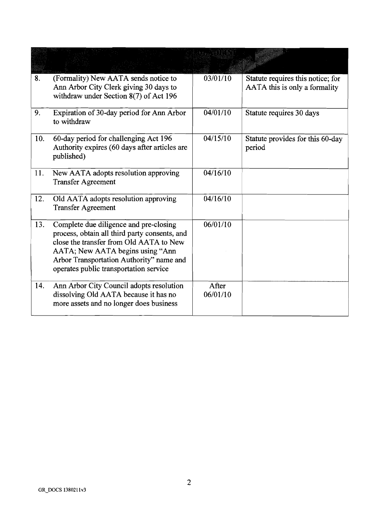| 8.  | (Formality) New AATA sends notice to<br>Ann Arbor City Clerk giving 30 days to<br>withdraw under Section 8(7) of Act 196                                                                                                                                     | 03/01/10          | Statute requires this notice; for<br>AATA this is only a formality |
|-----|--------------------------------------------------------------------------------------------------------------------------------------------------------------------------------------------------------------------------------------------------------------|-------------------|--------------------------------------------------------------------|
| 9.  | Expiration of 30-day period for Ann Arbor<br>to withdraw                                                                                                                                                                                                     | 04/01/10          | Statute requires 30 days                                           |
| 10. | 60-day period for challenging Act 196<br>Authority expires (60 days after articles are<br>published)                                                                                                                                                         | 04/15/10          | Statute provides for this 60-day<br>period                         |
| 11. | New AATA adopts resolution approving<br><b>Transfer Agreement</b>                                                                                                                                                                                            | 04/16/10          |                                                                    |
| 12. | Old AATA adopts resolution approving<br><b>Transfer Agreement</b>                                                                                                                                                                                            | 04/16/10          |                                                                    |
| 13. | Complete due diligence and pre-closing<br>process, obtain all third party consents, and<br>close the transfer from Old AATA to New<br>AATA; New AATA begins using "Ann<br>Arbor Transportation Authority" name and<br>operates public transportation service | 06/01/10          |                                                                    |
| 14. | Ann Arbor City Council adopts resolution<br>dissolving Old AATA because it has no<br>more assets and no longer does business                                                                                                                                 | After<br>06/01/10 |                                                                    |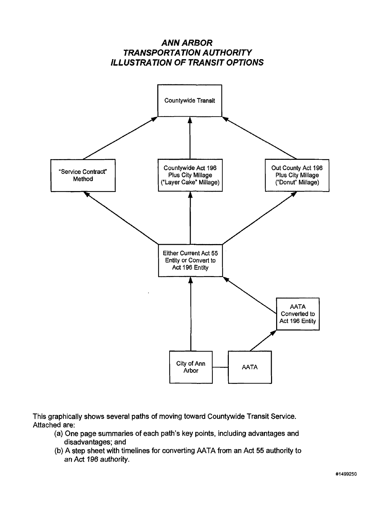

**This graphically shows several paths of moving toward Countywide Transit Service. Attached are:** 

- **(a) One page summaries of each path's key points, including advantages and disadvantages; and**
- **(b) A step sheet with timelines for converting AATA from an Act 55 authority to an Act 196 authority.**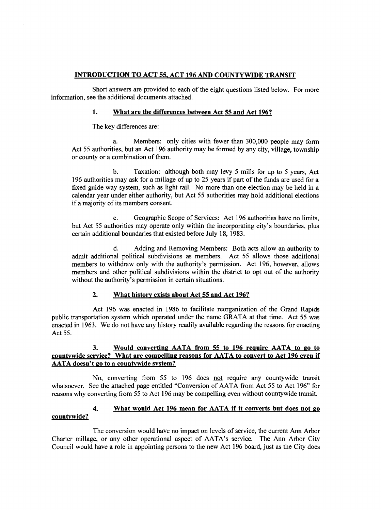#### **INTRODUCTION TO ACT 55, ACT 196 AND COUNTYWIDE TRANSIT**

Short answers are provided to each of the eight questions listed below. For more information, see the additional documents attached.

#### **1. What are the differences between Act 55 and Act 196?**

The key differences are:

a. Members: only cities with fewer than 300,000 people may form Act 55 authorities, but an Act 196 authority may be formed by any city, village, township or county or a combination of them.

b. Taxation: although both may levy 5 mills for up to 5 years, Act 196 authorities may ask for a millage of up to *25* years if part of the funds are used for a fixed guide way system, such as light rail. No more than one election may be held in a calendar year under either authority, but Act 55 authorities may hold additional elections if a majority of its members consent.

c. Geographic Scope of Services: Act 196 authorities have no limits, but Act 55 authorities may operate only within the incorporating city's boundaries, plus certain additional boundaries that existed before July 18, 1983.

d. Adding and Removing Members: Both acts allow an authority to admit additional political subdivisions as members. Act 55 allows those additional members to withdraw only with the authority's permission. Act 196, however, allows members and other political subdivisions within the district to opt out of the authority without the authority's permission in certain situations.

#### **2. What historv exists about Act 55 and Act 196?**

Act 196 was enacted in 1986 to facilitate reorganization of the Grand Rapids public transportation system which operated under the name GRATA at that time. Act 55 was enacted in 1963. We do not have any history readily available regarding the reasons for enacting Act 55.

#### **3. Would converting AATA from 55 to 196 reauire AATA to go to**  countywide service? What are compelling reasons for AATA to convert to Act 196 even if **AATA doesn't go to a countvwide svstem?**

No, converting from 55 to 196 does not require any countywide transit whatsoever. See the attached page entitled "Conversion of AATA from Act 55 to Act 196" for reasons why converting from 55 to Act 196 may be compelling even without countywide transit.

#### **4. What would Act 196 mean for AATA if it converts but does not go countvwide?**

The conversion would have no impact on levels of service, the current **Ann** Arbor Charter millage, or any other operational aspect of AATA's service. The Ann Arbor City Council would have a role in appointing persons to the new Act 196 board, just as the City does